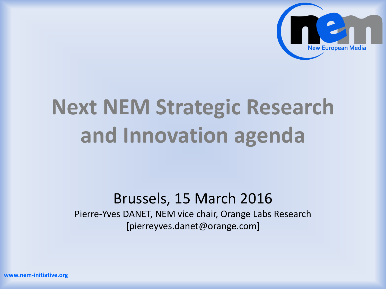

# **Next NEM Strategic Research and Innovation agenda**

#### Brussels, 15 March 2016

Pierre-Yves DANET, NEM vice chair, Orange Labs Research [pierreyves.danet@orange.com]

**www.nem-initiative.org**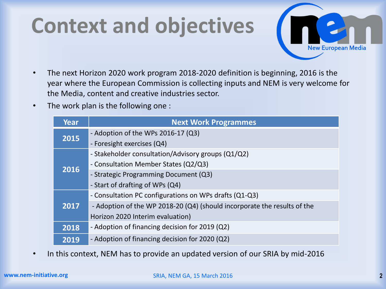### **Context and objectives**



- The next Horizon 2020 work program 2018-2020 definition is beginning, 2016 is the year where the European Commission is collecting inputs and NEM is very welcome for the Media, content and creative industries sector.
- The work plan is the following one :

| Year | <b>Next Work Programmes</b>                                              |
|------|--------------------------------------------------------------------------|
| 2015 | - Adoption of the WPs 2016-17 (Q3)                                       |
|      | - Foresight exercises (Q4)                                               |
| 2016 | - Stakeholder consultation/Advisory groups (Q1/Q2)                       |
|      | - Consultation Member States (Q2/Q3)                                     |
|      | - Strategic Programming Document (Q3)                                    |
|      | - Start of drafting of WPs (Q4)                                          |
| 2017 | - Consultation PC configurations on WPs drafts (Q1-Q3)                   |
|      | - Adoption of the WP 2018-20 (Q4) (should incorporate the results of the |
|      | Horizon 2020 Interim evaluation)                                         |
| 2018 | - Adoption of financing decision for 2019 (Q2)                           |
| 2019 | - Adoption of financing decision for 2020 (Q2)                           |

• In this context, NEM has to provide an updated version of our SRIA by mid-2016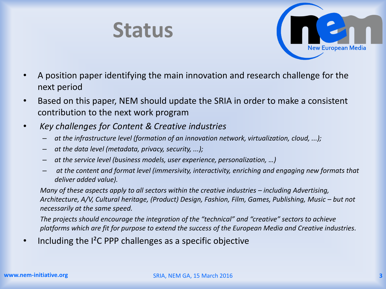



- A position paper identifying the main innovation and research challenge for the next period
- Based on this paper, NEM should update the SRIA in order to make a consistent contribution to the next work program
- *Key challenges for Content & Creative industries*
	- *at the infrastructure level (formation of an innovation network, virtualization, cloud, ...);*
	- *at the data level (metadata, privacy, security, ...);*
	- *at the service level (business models, user experience, personalization, …)*
	- *at the content and format level (immersivity, interactivity, enriching and engaging new formats that deliver added value).*

*Many of these aspects apply to all sectors within the creative industries – including Advertising, Architecture, A/V, Cultural heritage, (Product) Design, Fashion, Film, Games, Publishing, Music – but not necessarily at the same speed.*

*The projects should encourage the integration of the "technical" and "creative" sectors to achieve platforms which are fit for purpose to extend the success of the European Media and Creative industries.*

Including the  $I^2C$  PPP challenges as a specific objective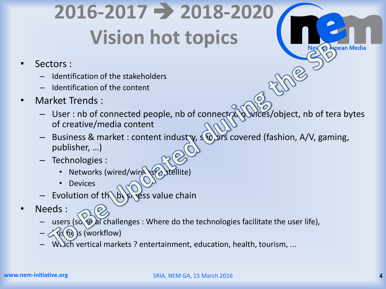## **2016-2017 2018-2020 Vision hot topics**

- Sectors :
	- Identification of the stakeholders
	- Identification of the content
- Market Trends :
	- User : nb of connected people, nb of connected devices/object, nb of tera bytes of creative/media content

 $\Omega$ 

- Business & market : content industry,  $\sqrt{6}$  ors covered (fashion, A/V, gaming, publisher, …)
- Technologies :
	- Networks (wired/wire somethite)
	- **Devices**
- Evolution of the business value chain
- Needs :
	- users (so  $\Theta$  al challenges : Where do the technologies facilitate the user life),
	- $2\sqrt{u}$  (ne)s (workflow)
	- Which vertical markets ? entertainment, education, health, tourism, ...

Nev < Apean Media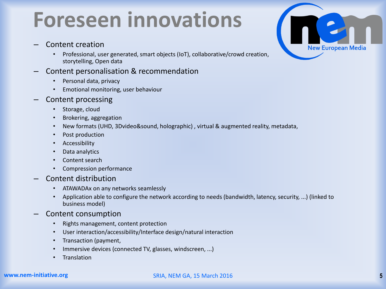#### **Foreseen innovations**

- Content creation
	- Professional, user generated, smart objects (IoT), collaborative/crowd creation, storytelling, Open data
- Content personalisation & recommendation
	- Personal data, privacy
	- Emotional monitoring, user behaviour
- Content processing
	- Storage, cloud
	- Brokering, aggregation
	- New formats (UHD, 3Dvideo&sound, holographic) , virtual & augmented reality, metadata,
	- Post production
	- **Accessibility**
	- Data analytics
	- Content search
	- Compression performance
- Content distribution
	- ATAWADAx on any networks seamlessly
	- Application able to configure the network according to needs (bandwidth, latency, security, ...) (linked to business model)
- Content consumption
	- Rights management, content protection
	- User interaction/accessibility/Interface design/natural interaction
	- Transaction (payment,
	- Immersive devices (connected TV, glasses, windscreen, ...)
	- Translation



#### **www.nem-initiative.org**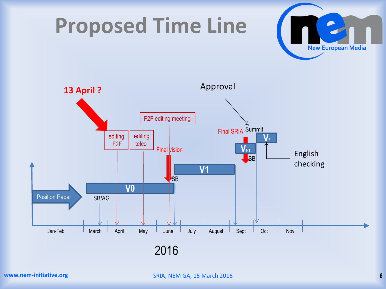





2016